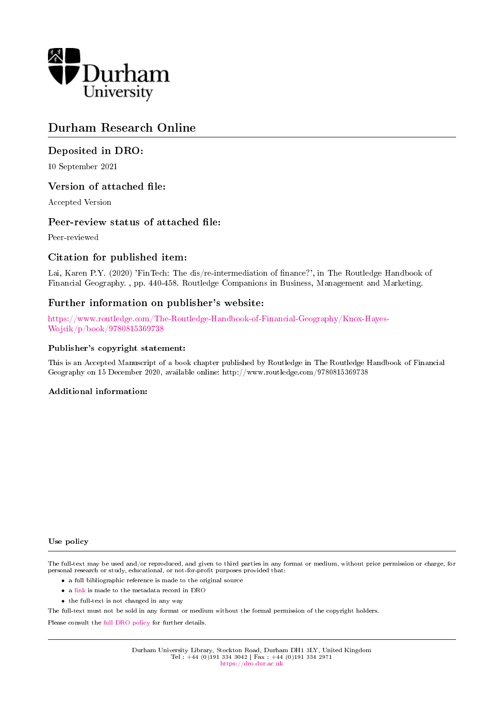

## Durham Research Online

## Deposited in DRO:

10 September 2021

### Version of attached file:

Accepted Version

### Peer-review status of attached file:

Peer-reviewed

## Citation for published item:

Lai, Karen P.Y. (2020) 'FinTech: The dis/re-intermediation of nance?', in The Routledge Handbook of Financial Geography. , pp. 440-458. Routledge Companions in Business, Management and Marketing.

## Further information on publisher's website:

[https://www.routledge.com/The-Routledge-Handbook-of-Financial-Geography/Knox-Hayes-](https://www.routledge.com/The-Routledge-Handbook-of-Financial-Geography/Knox-Hayes-Wojcik/p/book/9780815369738)[Wojcik/p/book/9780815369738](https://www.routledge.com/The-Routledge-Handbook-of-Financial-Geography/Knox-Hayes-Wojcik/p/book/9780815369738)

#### Publisher's copyright statement:

This is an Accepted Manuscript of a book chapter published by Routledge in The Routledge Handbook of Financial Geography on 15 December 2020, available online: http://www.routledge.com/9780815369738

#### Additional information:

#### Use policy

The full-text may be used and/or reproduced, and given to third parties in any format or medium, without prior permission or charge, for personal research or study, educational, or not-for-profit purposes provided that:

- a full bibliographic reference is made to the original source
- a [link](http://dro.dur.ac.uk/33796/) is made to the metadata record in DRO
- the full-text is not changed in any way

The full-text must not be sold in any format or medium without the formal permission of the copyright holders.

Please consult the [full DRO policy](https://dro.dur.ac.uk/policies/usepolicy.pdf) for further details.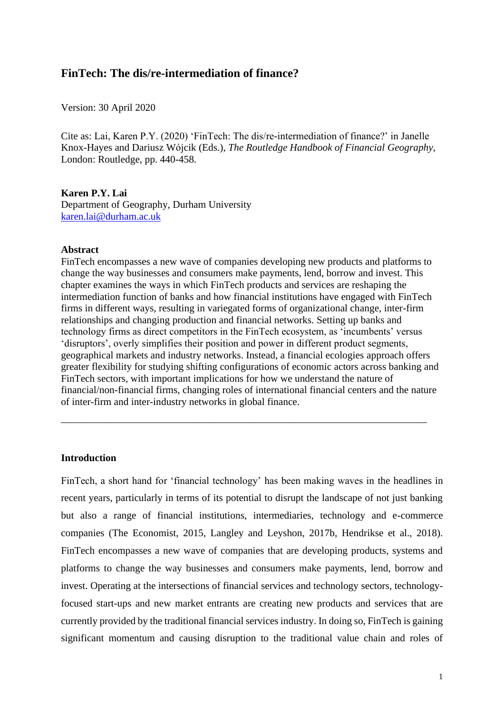## **FinTech: The dis/re-intermediation of finance?**

Version: 30 April 2020

Cite as: Lai, Karen P.Y. (2020) 'FinTech: The dis/re-intermediation of finance?' in Janelle Knox-Hayes and Dariusz Wójcik (Eds.), *The Routledge Handbook of Financial Geography*, London: Routledge, pp. 440-458.

#### **Karen P.Y. Lai**

Department of Geography, Durham University [karen.lai@durham.ac.uk](mailto:karen.lai@durham.ac.uk))

#### **Abstract**

FinTech encompasses a new wave of companies developing new products and platforms to change the way businesses and consumers make payments, lend, borrow and invest. This chapter examines the ways in which FinTech products and services are reshaping the intermediation function of banks and how financial institutions have engaged with FinTech firms in different ways, resulting in variegated forms of organizational change, inter-firm relationships and changing production and financial networks. Setting up banks and technology firms as direct competitors in the FinTech ecosystem, as 'incumbents' versus 'disruptors', overly simplifies their position and power in different product segments, geographical markets and industry networks. Instead, a financial ecologies approach offers greater flexibility for studying shifting configurations of economic actors across banking and FinTech sectors, with important implications for how we understand the nature of financial/non-financial firms, changing roles of international financial centers and the nature of inter-firm and inter-industry networks in global finance.

\_\_\_\_\_\_\_\_\_\_\_\_\_\_\_\_\_\_\_\_\_\_\_\_\_\_\_\_\_\_\_\_\_\_\_\_\_\_\_\_\_\_\_\_\_\_\_\_\_\_\_\_\_\_\_\_\_\_\_\_\_\_\_\_\_\_\_\_\_\_\_\_

#### **Introduction**

FinTech, a short hand for 'financial technology' has been making waves in the headlines in recent years, particularly in terms of its potential to disrupt the landscape of not just banking but also a range of financial institutions, intermediaries, technology and e-commerce companies (The Economist, 2015, Langley and Leyshon, 2017b, Hendrikse et al., 2018). FinTech encompasses a new wave of companies that are developing products, systems and platforms to change the way businesses and consumers make payments, lend, borrow and invest. Operating at the intersections of financial services and technology sectors, technologyfocused start-ups and new market entrants are creating new products and services that are currently provided by the traditional financial services industry. In doing so, FinTech is gaining significant momentum and causing disruption to the traditional value chain and roles of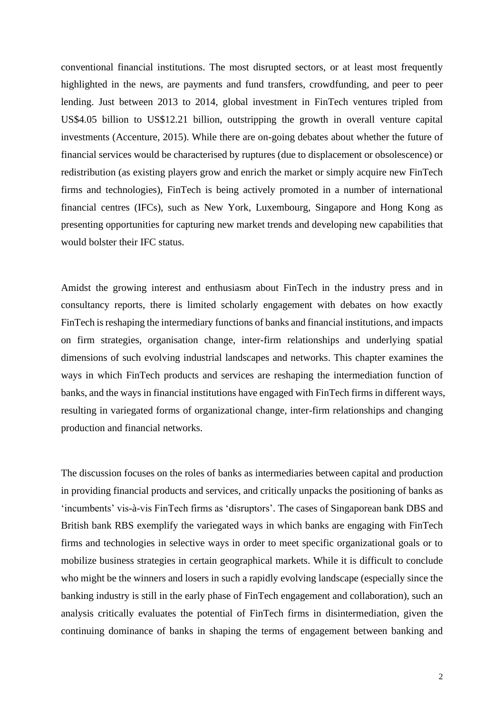conventional financial institutions. The most disrupted sectors, or at least most frequently highlighted in the news, are payments and fund transfers, crowdfunding, and peer to peer lending. Just between 2013 to 2014, global investment in FinTech ventures tripled from US\$4.05 billion to US\$12.21 billion, outstripping the growth in overall venture capital investments (Accenture, 2015). While there are on-going debates about whether the future of financial services would be characterised by ruptures (due to displacement or obsolescence) or redistribution (as existing players grow and enrich the market or simply acquire new FinTech firms and technologies), FinTech is being actively promoted in a number of international financial centres (IFCs), such as New York, Luxembourg, Singapore and Hong Kong as presenting opportunities for capturing new market trends and developing new capabilities that would bolster their IFC status.

Amidst the growing interest and enthusiasm about FinTech in the industry press and in consultancy reports, there is limited scholarly engagement with debates on how exactly FinTech is reshaping the intermediary functions of banks and financial institutions, and impacts on firm strategies, organisation change, inter-firm relationships and underlying spatial dimensions of such evolving industrial landscapes and networks. This chapter examines the ways in which FinTech products and services are reshaping the intermediation function of banks, and the ways in financial institutions have engaged with FinTech firms in different ways, resulting in variegated forms of organizational change, inter-firm relationships and changing production and financial networks.

The discussion focuses on the roles of banks as intermediaries between capital and production in providing financial products and services, and critically unpacks the positioning of banks as 'incumbents' vis-à-vis FinTech firms as 'disruptors'. The cases of Singaporean bank DBS and British bank RBS exemplify the variegated ways in which banks are engaging with FinTech firms and technologies in selective ways in order to meet specific organizational goals or to mobilize business strategies in certain geographical markets. While it is difficult to conclude who might be the winners and losers in such a rapidly evolving landscape (especially since the banking industry is still in the early phase of FinTech engagement and collaboration), such an analysis critically evaluates the potential of FinTech firms in disintermediation, given the continuing dominance of banks in shaping the terms of engagement between banking and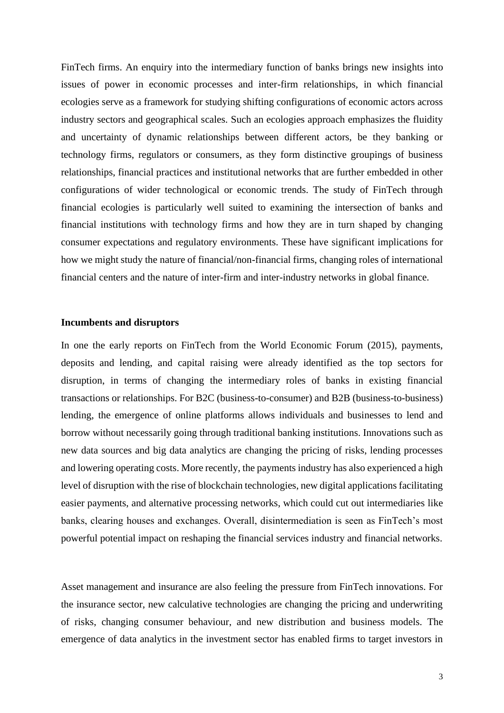FinTech firms. An enquiry into the intermediary function of banks brings new insights into issues of power in economic processes and inter-firm relationships, in which financial ecologies serve as a framework for studying shifting configurations of economic actors across industry sectors and geographical scales. Such an ecologies approach emphasizes the fluidity and uncertainty of dynamic relationships between different actors, be they banking or technology firms, regulators or consumers, as they form distinctive groupings of business relationships, financial practices and institutional networks that are further embedded in other configurations of wider technological or economic trends. The study of FinTech through financial ecologies is particularly well suited to examining the intersection of banks and financial institutions with technology firms and how they are in turn shaped by changing consumer expectations and regulatory environments. These have significant implications for how we might study the nature of financial/non-financial firms, changing roles of international financial centers and the nature of inter-firm and inter-industry networks in global finance.

#### **Incumbents and disruptors**

In one the early reports on FinTech from the World Economic Forum (2015), payments, deposits and lending, and capital raising were already identified as the top sectors for disruption, in terms of changing the intermediary roles of banks in existing financial transactions or relationships. For B2C (business-to-consumer) and B2B (business-to-business) lending, the emergence of online platforms allows individuals and businesses to lend and borrow without necessarily going through traditional banking institutions. Innovations such as new data sources and big data analytics are changing the pricing of risks, lending processes and lowering operating costs. More recently, the payments industry has also experienced a high level of disruption with the rise of blockchain technologies, new digital applications facilitating easier payments, and alternative processing networks, which could cut out intermediaries like banks, clearing houses and exchanges. Overall, disintermediation is seen as FinTech's most powerful potential impact on reshaping the financial services industry and financial networks.

Asset management and insurance are also feeling the pressure from FinTech innovations. For the insurance sector, new calculative technologies are changing the pricing and underwriting of risks, changing consumer behaviour, and new distribution and business models. The emergence of data analytics in the investment sector has enabled firms to target investors in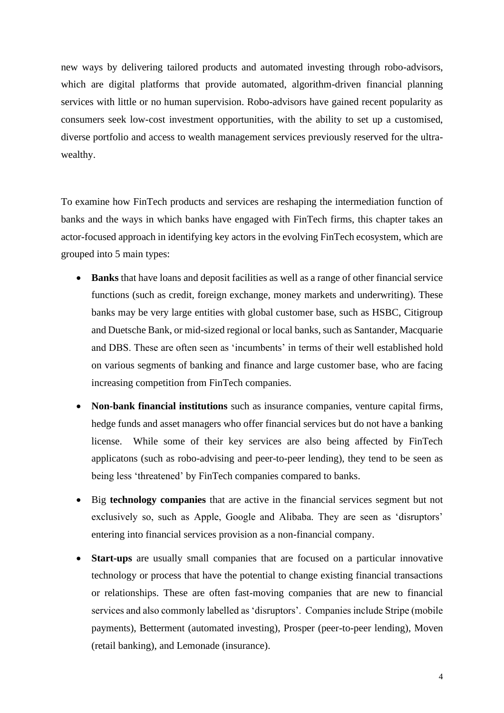new ways by delivering tailored products and automated investing through robo-advisors, which are digital platforms that provide automated, algorithm-driven financial planning services with little or no human supervision. Robo-advisors have gained recent popularity as consumers seek low-cost investment opportunities, with the ability to set up a customised, diverse portfolio and access to wealth management services previously reserved for the ultrawealthy.

To examine how FinTech products and services are reshaping the intermediation function of banks and the ways in which banks have engaged with FinTech firms, this chapter takes an actor-focused approach in identifying key actors in the evolving FinTech ecosystem, which are grouped into 5 main types:

- **Banks** that have loans and deposit facilities as well as a range of other financial service functions (such as credit, foreign exchange, money markets and underwriting). These banks may be very large entities with global customer base, such as HSBC, Citigroup and Duetsche Bank, or mid-sized regional or local banks, such as Santander, Macquarie and DBS. These are often seen as 'incumbents' in terms of their well established hold on various segments of banking and finance and large customer base, who are facing increasing competition from FinTech companies.
- **Non-bank financial institutions** such as insurance companies, venture capital firms, hedge funds and asset managers who offer financial services but do not have a banking license. While some of their key services are also being affected by FinTech applicatons (such as robo-advising and peer-to-peer lending), they tend to be seen as being less 'threatened' by FinTech companies compared to banks.
- Big **technology companies** that are active in the financial services segment but not exclusively so, such as Apple, Google and Alibaba. They are seen as 'disruptors' entering into financial services provision as a non-financial company.
- **Start-ups** are usually small companies that are focused on a particular innovative technology or process that have the potential to change existing financial transactions or relationships. These are often fast-moving companies that are new to financial services and also commonly labelled as 'disruptors'. Companies include Stripe (mobile payments), Betterment (automated investing), Prosper (peer-to-peer lending), Moven (retail banking), and Lemonade (insurance).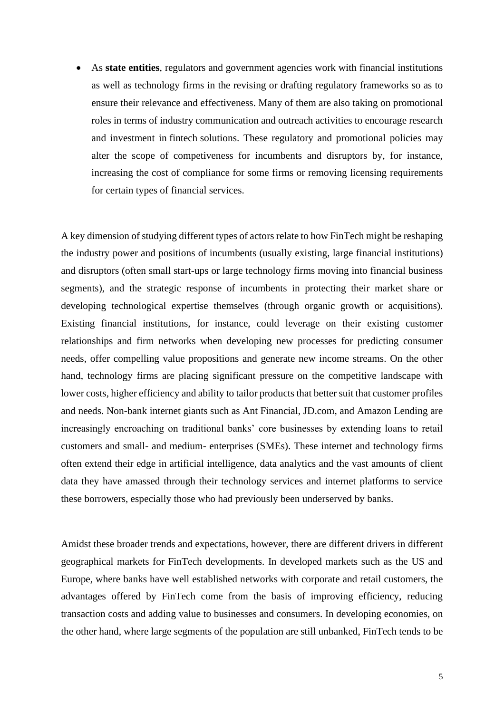• As **state entities**, regulators and government agencies work with financial institutions as well as technology firms in the revising or drafting regulatory frameworks so as to ensure their relevance and effectiveness. Many of them are also taking on promotional roles in terms of industry communication and outreach activities to encourage research and investment in fintech solutions. These regulatory and promotional policies may alter the scope of competiveness for incumbents and disruptors by, for instance, increasing the cost of compliance for some firms or removing licensing requirements for certain types of financial services.

A key dimension of studying different types of actors relate to how FinTech might be reshaping the industry power and positions of incumbents (usually existing, large financial institutions) and disruptors (often small start-ups or large technology firms moving into financial business segments), and the strategic response of incumbents in protecting their market share or developing technological expertise themselves (through organic growth or acquisitions). Existing financial institutions, for instance, could leverage on their existing customer relationships and firm networks when developing new processes for predicting consumer needs, offer compelling value propositions and generate new income streams. On the other hand, technology firms are placing significant pressure on the competitive landscape with lower costs, higher efficiency and ability to tailor products that better suit that customer profiles and needs. Non-bank internet giants such as Ant Financial, JD.com, and Amazon Lending are increasingly encroaching on traditional banks' core businesses by extending loans to retail customers and small- and medium- enterprises (SMEs). These internet and technology firms often extend their edge in artificial intelligence, data analytics and the vast amounts of client data they have amassed through their technology services and internet platforms to service these borrowers, especially those who had previously been underserved by banks.

Amidst these broader trends and expectations, however, there are different drivers in different geographical markets for FinTech developments. In developed markets such as the US and Europe, where banks have well established networks with corporate and retail customers, the advantages offered by FinTech come from the basis of improving efficiency, reducing transaction costs and adding value to businesses and consumers. In developing economies, on the other hand, where large segments of the population are still unbanked, FinTech tends to be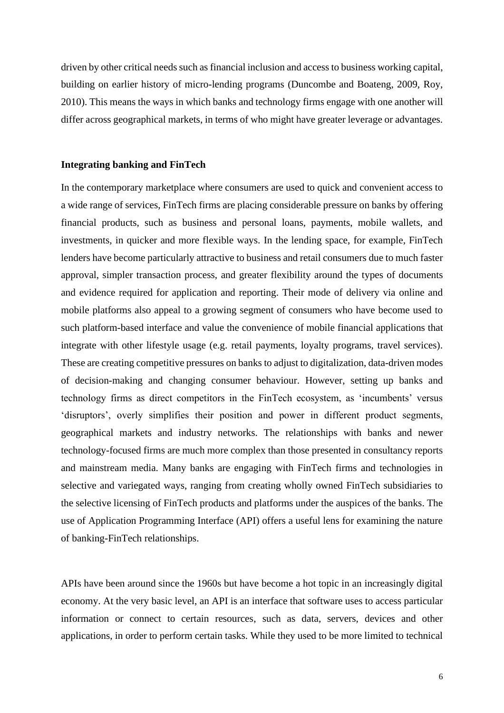driven by other critical needs such as financial inclusion and access to business working capital, building on earlier history of micro-lending programs (Duncombe and Boateng, 2009, Roy, 2010). This means the ways in which banks and technology firms engage with one another will differ across geographical markets, in terms of who might have greater leverage or advantages.

### **Integrating banking and FinTech**

In the contemporary marketplace where consumers are used to quick and convenient access to a wide range of services, FinTech firms are placing considerable pressure on banks by offering financial products, such as business and personal loans, payments, mobile wallets, and investments, in quicker and more flexible ways. In the lending space, for example, FinTech lenders have become particularly attractive to business and retail consumers due to much faster approval, simpler transaction process, and greater flexibility around the types of documents and evidence required for application and reporting. Their mode of delivery via online and mobile platforms also appeal to a growing segment of consumers who have become used to such platform-based interface and value the convenience of mobile financial applications that integrate with other lifestyle usage (e.g. retail payments, loyalty programs, travel services). These are creating competitive pressures on banks to adjust to digitalization, data-driven modes of decision-making and changing consumer behaviour. However, setting up banks and technology firms as direct competitors in the FinTech ecosystem, as 'incumbents' versus 'disruptors', overly simplifies their position and power in different product segments, geographical markets and industry networks. The relationships with banks and newer technology-focused firms are much more complex than those presented in consultancy reports and mainstream media. Many banks are engaging with FinTech firms and technologies in selective and variegated ways, ranging from creating wholly owned FinTech subsidiaries to the selective licensing of FinTech products and platforms under the auspices of the banks. The use of Application Programming Interface (API) offers a useful lens for examining the nature of banking-FinTech relationships.

APIs have been around since the 1960s but have become a hot topic in an increasingly digital economy. At the very basic level, an API is an interface that software uses to access particular information or connect to certain resources, such as data, servers, devices and other applications, in order to perform certain tasks. While they used to be more limited to technical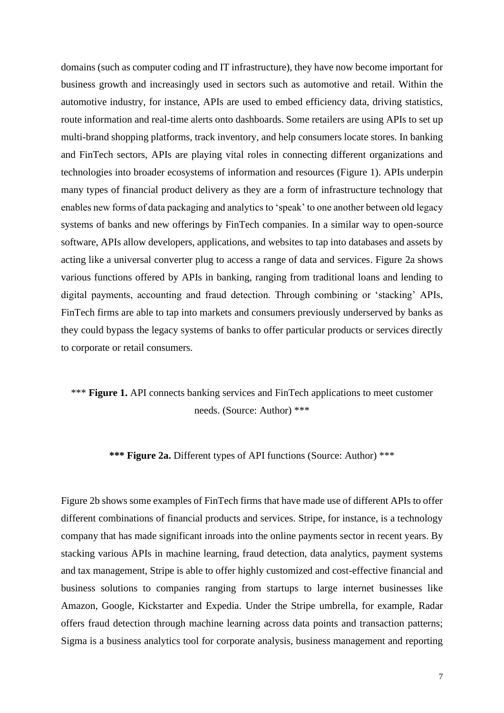domains (such as computer coding and IT infrastructure), they have now become important for business growth and increasingly used in sectors such as automotive and retail. Within the automotive industry, for instance, APIs are used to embed efficiency data, driving statistics, route information and real-time alerts onto dashboards. Some retailers are using APIs to set up multi-brand shopping platforms, track inventory, and help consumers locate stores. In banking and FinTech sectors, APIs are playing vital roles in connecting different organizations and technologies into broader ecosystems of information and resources (Figure 1). APIs underpin many types of financial product delivery as they are a form of infrastructure technology that enables new forms of data packaging and analytics to 'speak' to one another between old legacy systems of banks and new offerings by FinTech companies. In a similar way to open-source software, APIs allow developers, applications, and websites to tap into databases and assets by acting like a universal converter plug to access a range of data and services. Figure 2a shows various functions offered by APIs in banking, ranging from traditional loans and lending to digital payments, accounting and fraud detection. Through combining or 'stacking' APIs, FinTech firms are able to tap into markets and consumers previously underserved by banks as they could bypass the legacy systems of banks to offer particular products or services directly to corporate or retail consumers.

## \*\*\* **Figure 1.** API connects banking services and FinTech applications to meet customer needs. (Source: Author) \*\*\*

#### **\*\*\* Figure 2a.** Different types of API functions (Source: Author) \*\*\*

Figure 2b shows some examples of FinTech firms that have made use of different APIs to offer different combinations of financial products and services. Stripe, for instance, is a technology company that has made significant inroads into the online payments sector in recent years. By stacking various APIs in machine learning, fraud detection, data analytics, payment systems and tax management, Stripe is able to offer highly customized and cost-effective financial and business solutions to companies ranging from startups to large internet businesses like Amazon, Google, Kickstarter and Expedia. Under the Stripe umbrella, for example, Radar offers fraud detection through machine learning across data points and transaction patterns; Sigma is a business analytics tool for corporate analysis, business management and reporting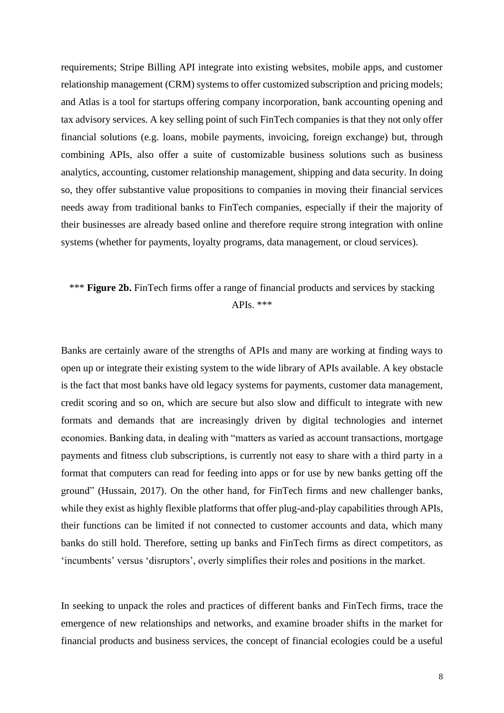requirements; Stripe Billing API integrate into existing websites, mobile apps, and customer relationship management (CRM) systems to offer customized subscription and pricing models; and Atlas is a tool for startups offering company incorporation, bank accounting opening and tax advisory services. A key selling point of such FinTech companies is that they not only offer financial solutions (e.g. loans, mobile payments, invoicing, foreign exchange) but, through combining APIs, also offer a suite of customizable business solutions such as business analytics, accounting, customer relationship management, shipping and data security. In doing so, they offer substantive value propositions to companies in moving their financial services needs away from traditional banks to FinTech companies, especially if their the majority of their businesses are already based online and therefore require strong integration with online systems (whether for payments, loyalty programs, data management, or cloud services).

## \*\*\* **Figure 2b.** FinTech firms offer a range of financial products and services by stacking APIs. \*\*\*

Banks are certainly aware of the strengths of APIs and many are working at finding ways to open up or integrate their existing system to the wide library of APIs available. A key obstacle is the fact that most banks have old legacy systems for payments, customer data management, credit scoring and so on, which are secure but also slow and difficult to integrate with new formats and demands that are increasingly driven by digital technologies and internet economies. Banking data, in dealing with "matters as varied as account transactions, mortgage payments and fitness club subscriptions, is currently not easy to share with a third party in a format that computers can read for feeding into apps or for use by new banks getting off the ground" (Hussain, 2017). On the other hand, for FinTech firms and new challenger banks, while they exist as highly flexible platforms that offer plug-and-play capabilities through APIs, their functions can be limited if not connected to customer accounts and data, which many banks do still hold. Therefore, setting up banks and FinTech firms as direct competitors, as 'incumbents' versus 'disruptors', overly simplifies their roles and positions in the market.

In seeking to unpack the roles and practices of different banks and FinTech firms, trace the emergence of new relationships and networks, and examine broader shifts in the market for financial products and business services, the concept of financial ecologies could be a useful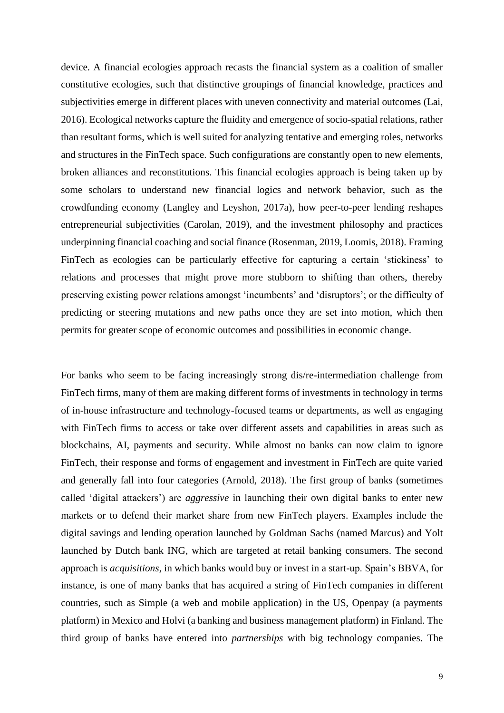device. A financial ecologies approach recasts the financial system as a coalition of smaller constitutive ecologies, such that distinctive groupings of financial knowledge, practices and subjectivities emerge in different places with uneven connectivity and material outcomes (Lai, 2016). Ecological networks capture the fluidity and emergence of socio-spatial relations, rather than resultant forms, which is well suited for analyzing tentative and emerging roles, networks and structures in the FinTech space. Such configurations are constantly open to new elements, broken alliances and reconstitutions. This financial ecologies approach is being taken up by some scholars to understand new financial logics and network behavior, such as the crowdfunding economy (Langley and Leyshon, 2017a), how peer-to-peer lending reshapes entrepreneurial subjectivities (Carolan, 2019), and the investment philosophy and practices underpinning financial coaching and social finance (Rosenman, 2019, Loomis, 2018). Framing FinTech as ecologies can be particularly effective for capturing a certain 'stickiness' to relations and processes that might prove more stubborn to shifting than others, thereby preserving existing power relations amongst 'incumbents' and 'disruptors'; or the difficulty of predicting or steering mutations and new paths once they are set into motion, which then permits for greater scope of economic outcomes and possibilities in economic change.

For banks who seem to be facing increasingly strong dis/re-intermediation challenge from FinTech firms, many of them are making different forms of investments in technology in terms of in-house infrastructure and technology-focused teams or departments, as well as engaging with FinTech firms to access or take over different assets and capabilities in areas such as blockchains, AI, payments and security. While almost no banks can now claim to ignore FinTech, their response and forms of engagement and investment in FinTech are quite varied and generally fall into four categories (Arnold, 2018). The first group of banks (sometimes called 'digital attackers') are *aggressive* in launching their own digital banks to enter new markets or to defend their market share from new FinTech players. Examples include the digital savings and lending operation launched by Goldman Sachs (named Marcus) and Yolt launched by Dutch bank ING, which are targeted at retail banking consumers. The second approach is *acquisitions*, in which banks would buy or invest in a start-up. Spain's BBVA, for instance, is one of many banks that has acquired a string of FinTech companies in different countries, such as Simple (a web and mobile application) in the US, Openpay (a payments platform) in Mexico and Holvi (a banking and business management platform) in Finland. The third group of banks have entered into *partnerships* with big technology companies. The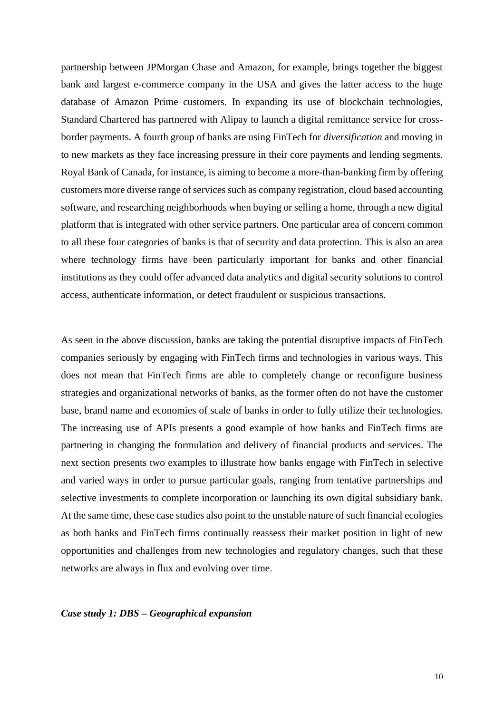partnership between JPMorgan Chase and Amazon, for example, brings together the biggest bank and largest e-commerce company in the USA and gives the latter access to the huge database of Amazon Prime customers. In expanding its use of blockchain technologies, Standard Chartered has partnered with Alipay to launch a digital remittance service for crossborder payments. A fourth group of banks are using FinTech for *diversification* and moving in to new markets as they face increasing pressure in their core payments and lending segments. Royal Bank of Canada, for instance, is aiming to become a more-than-banking firm by offering customers more diverse range of services such as company registration, cloud based accounting software, and researching neighborhoods when buying or selling a home, through a new digital platform that is integrated with other service partners. One particular area of concern common to all these four categories of banks is that of security and data protection. This is also an area where technology firms have been particularly important for banks and other financial institutions as they could offer advanced data analytics and digital security solutions to control access, authenticate information, or detect fraudulent or suspicious transactions.

As seen in the above discussion, banks are taking the potential disruptive impacts of FinTech companies seriously by engaging with FinTech firms and technologies in various ways. This does not mean that FinTech firms are able to completely change or reconfigure business strategies and organizational networks of banks, as the former often do not have the customer base, brand name and economies of scale of banks in order to fully utilize their technologies. The increasing use of APIs presents a good example of how banks and FinTech firms are partnering in changing the formulation and delivery of financial products and services. The next section presents two examples to illustrate how banks engage with FinTech in selective and varied ways in order to pursue particular goals, ranging from tentative partnerships and selective investments to complete incorporation or launching its own digital subsidiary bank. At the same time, these case studies also point to the unstable nature of such financial ecologies as both banks and FinTech firms continually reassess their market position in light of new opportunities and challenges from new technologies and regulatory changes, such that these networks are always in flux and evolving over time.

#### *Case study 1: DBS – Geographical expansion*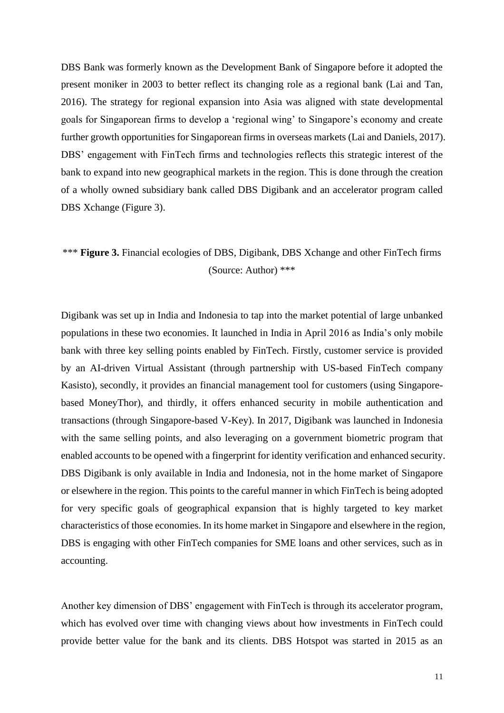DBS Bank was formerly known as the Development Bank of Singapore before it adopted the present moniker in 2003 to better reflect its changing role as a regional bank (Lai and Tan, 2016). The strategy for regional expansion into Asia was aligned with state developmental goals for Singaporean firms to develop a 'regional wing' to Singapore's economy and create further growth opportunities for Singaporean firms in overseas markets (Lai and Daniels, 2017). DBS' engagement with FinTech firms and technologies reflects this strategic interest of the bank to expand into new geographical markets in the region. This is done through the creation of a wholly owned subsidiary bank called DBS Digibank and an accelerator program called DBS Xchange (Figure 3).

## \*\*\* **Figure 3.** Financial ecologies of DBS, Digibank, DBS Xchange and other FinTech firms (Source: Author) \*\*\*

Digibank was set up in India and Indonesia to tap into the market potential of large unbanked populations in these two economies. It launched in India in April 2016 as India's only mobile bank with three key selling points enabled by FinTech. Firstly, customer service is provided by an AI-driven Virtual Assistant (through partnership with US-based FinTech company Kasisto), secondly, it provides an financial management tool for customers (using Singaporebased MoneyThor), and thirdly, it offers enhanced security in mobile authentication and transactions (through Singapore-based V-Key). In 2017, Digibank was launched in Indonesia with the same selling points, and also leveraging on a government biometric program that enabled accounts to be opened with a fingerprint for identity verification and enhanced security. DBS Digibank is only available in India and Indonesia, not in the home market of Singapore or elsewhere in the region. This points to the careful manner in which FinTech is being adopted for very specific goals of geographical expansion that is highly targeted to key market characteristics of those economies. In its home market in Singapore and elsewhere in the region, DBS is engaging with other FinTech companies for SME loans and other services, such as in accounting.

Another key dimension of DBS' engagement with FinTech is through its accelerator program, which has evolved over time with changing views about how investments in FinTech could provide better value for the bank and its clients. DBS Hotspot was started in 2015 as an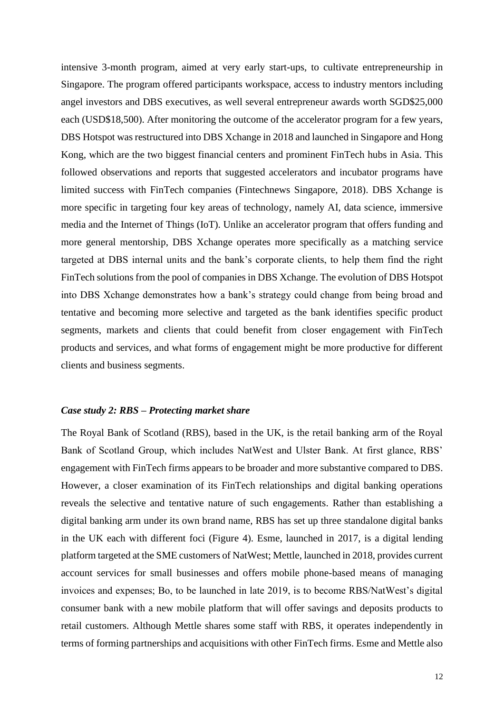intensive 3-month program, aimed at very early start-ups, to cultivate entrepreneurship in Singapore. The program offered participants workspace, access to industry mentors including angel investors and DBS executives, as well several entrepreneur awards worth SGD\$25,000 each (USD\$18,500). After monitoring the outcome of the accelerator program for a few years, DBS Hotspot was restructured into DBS Xchange in 2018 and launched in Singapore and Hong Kong, which are the two biggest financial centers and prominent FinTech hubs in Asia. This followed observations and reports that suggested accelerators and incubator programs have limited success with FinTech companies (Fintechnews Singapore, 2018). DBS Xchange is more specific in targeting four key areas of technology, namely AI, data science, immersive media and the Internet of Things (IoT). Unlike an accelerator program that offers funding and more general mentorship, DBS Xchange operates more specifically as a matching service targeted at DBS internal units and the bank's corporate clients, to help them find the right FinTech solutions from the pool of companies in DBS Xchange. The evolution of DBS Hotspot into DBS Xchange demonstrates how a bank's strategy could change from being broad and tentative and becoming more selective and targeted as the bank identifies specific product segments, markets and clients that could benefit from closer engagement with FinTech products and services, and what forms of engagement might be more productive for different clients and business segments.

#### *Case study 2: RBS – Protecting market share*

The Royal Bank of Scotland (RBS), based in the UK, is the retail banking arm of the Royal Bank of Scotland Group, which includes NatWest and Ulster Bank. At first glance, RBS' engagement with FinTech firms appears to be broader and more substantive compared to DBS. However, a closer examination of its FinTech relationships and digital banking operations reveals the selective and tentative nature of such engagements. Rather than establishing a digital banking arm under its own brand name, RBS has set up three standalone digital banks in the UK each with different foci (Figure 4). Esme, launched in 2017, is a digital lending platform targeted at the SME customers of NatWest; Mettle, launched in 2018, provides current account services for small businesses and offers mobile phone-based means of managing invoices and expenses; Bo, to be launched in late 2019, is to become RBS/NatWest's digital consumer bank with a new mobile platform that will offer savings and deposits products to retail customers. Although Mettle shares some staff with RBS, it operates independently in terms of forming partnerships and acquisitions with other FinTech firms. Esme and Mettle also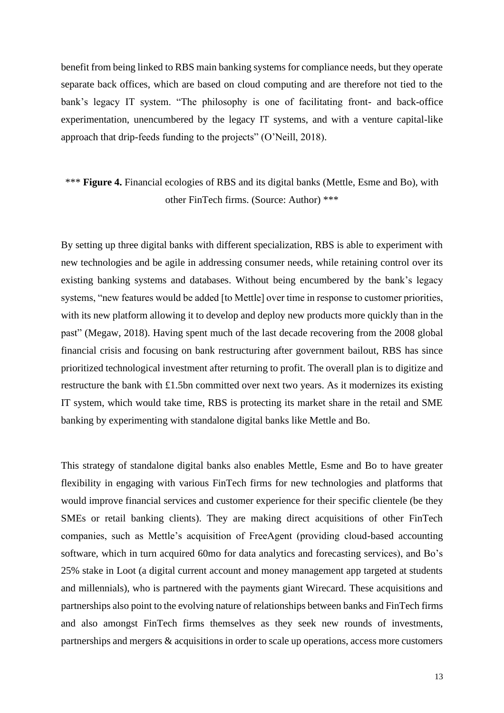benefit from being linked to RBS main banking systems for compliance needs, but they operate separate back offices, which are based on cloud computing and are therefore not tied to the bank's legacy IT system. "The philosophy is one of facilitating front- and back-office experimentation, unencumbered by the legacy IT systems, and with a venture capital-like approach that drip-feeds funding to the projects" (O'Neill, 2018).

## \*\*\* **Figure 4.** Financial ecologies of RBS and its digital banks (Mettle, Esme and Bo), with other FinTech firms. (Source: Author) \*\*\*

By setting up three digital banks with different specialization, RBS is able to experiment with new technologies and be agile in addressing consumer needs, while retaining control over its existing banking systems and databases. Without being encumbered by the bank's legacy systems, "new features would be added [to Mettle] over time in response to customer priorities, with its new platform allowing it to develop and deploy new products more quickly than in the past" (Megaw, 2018). Having spent much of the last decade recovering from the 2008 global financial crisis and focusing on bank restructuring after government bailout, RBS has since prioritized technological investment after returning to profit. The overall plan is to digitize and restructure the bank with £1.5bn committed over next two years. As it modernizes its existing IT system, which would take time, RBS is protecting its market share in the retail and SME banking by experimenting with standalone digital banks like Mettle and Bo.

This strategy of standalone digital banks also enables Mettle, Esme and Bo to have greater flexibility in engaging with various FinTech firms for new technologies and platforms that would improve financial services and customer experience for their specific clientele (be they SMEs or retail banking clients). They are making direct acquisitions of other FinTech companies, such as Mettle's acquisition of FreeAgent (providing cloud-based accounting software, which in turn acquired 60mo for data analytics and forecasting services), and Bo's 25% stake in Loot (a digital current account and money management app targeted at students and millennials), who is partnered with the payments giant Wirecard. These acquisitions and partnerships also point to the evolving nature of relationships between banks and FinTech firms and also amongst FinTech firms themselves as they seek new rounds of investments, partnerships and mergers & acquisitions in order to scale up operations, access more customers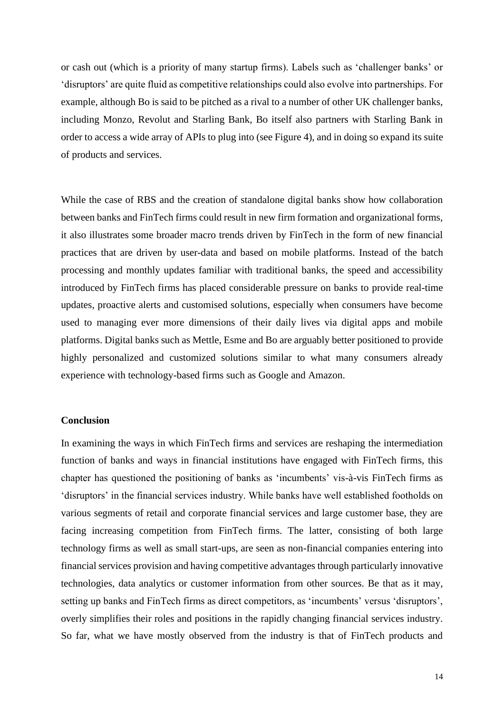or cash out (which is a priority of many startup firms). Labels such as 'challenger banks' or 'disruptors' are quite fluid as competitive relationships could also evolve into partnerships. For example, although Bo is said to be pitched as a rival to a number of other UK challenger banks, including Monzo, Revolut and Starling Bank, Bo itself also partners with Starling Bank in order to access a wide array of APIs to plug into (see Figure 4), and in doing so expand its suite of products and services.

While the case of RBS and the creation of standalone digital banks show how collaboration between banks and FinTech firms could result in new firm formation and organizational forms, it also illustrates some broader macro trends driven by FinTech in the form of new financial practices that are driven by user-data and based on mobile platforms. Instead of the batch processing and monthly updates familiar with traditional banks, the speed and accessibility introduced by FinTech firms has placed considerable pressure on banks to provide real-time updates, proactive alerts and customised solutions, especially when consumers have become used to managing ever more dimensions of their daily lives via digital apps and mobile platforms. Digital banks such as Mettle, Esme and Bo are arguably better positioned to provide highly personalized and customized solutions similar to what many consumers already experience with technology-based firms such as Google and Amazon.

#### **Conclusion**

In examining the ways in which FinTech firms and services are reshaping the intermediation function of banks and ways in financial institutions have engaged with FinTech firms, this chapter has questioned the positioning of banks as 'incumbents' vis-à-vis FinTech firms as 'disruptors' in the financial services industry. While banks have well established footholds on various segments of retail and corporate financial services and large customer base, they are facing increasing competition from FinTech firms. The latter, consisting of both large technology firms as well as small start-ups, are seen as non-financial companies entering into financial services provision and having competitive advantages through particularly innovative technologies, data analytics or customer information from other sources. Be that as it may, setting up banks and FinTech firms as direct competitors, as 'incumbents' versus 'disruptors', overly simplifies their roles and positions in the rapidly changing financial services industry. So far, what we have mostly observed from the industry is that of FinTech products and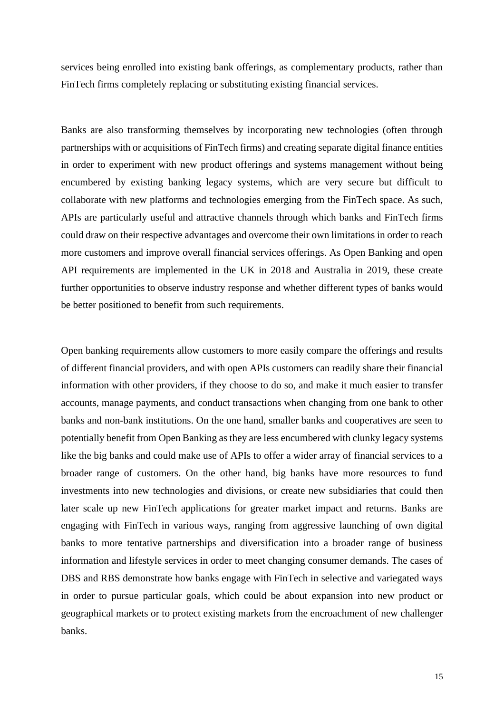services being enrolled into existing bank offerings, as complementary products, rather than FinTech firms completely replacing or substituting existing financial services.

Banks are also transforming themselves by incorporating new technologies (often through partnerships with or acquisitions of FinTech firms) and creating separate digital finance entities in order to experiment with new product offerings and systems management without being encumbered by existing banking legacy systems, which are very secure but difficult to collaborate with new platforms and technologies emerging from the FinTech space. As such, APIs are particularly useful and attractive channels through which banks and FinTech firms could draw on their respective advantages and overcome their own limitations in order to reach more customers and improve overall financial services offerings. As Open Banking and open API requirements are implemented in the UK in 2018 and Australia in 2019, these create further opportunities to observe industry response and whether different types of banks would be better positioned to benefit from such requirements.

Open banking requirements allow customers to more easily compare the offerings and results of different financial providers, and with open APIs customers can readily share their financial information with other providers, if they choose to do so, and make it much easier to transfer accounts, manage payments, and conduct transactions when changing from one bank to other banks and non-bank institutions. On the one hand, smaller banks and cooperatives are seen to potentially benefit from Open Banking as they are less encumbered with clunky legacy systems like the big banks and could make use of APIs to offer a wider array of financial services to a broader range of customers. On the other hand, big banks have more resources to fund investments into new technologies and divisions, or create new subsidiaries that could then later scale up new FinTech applications for greater market impact and returns. Banks are engaging with FinTech in various ways, ranging from aggressive launching of own digital banks to more tentative partnerships and diversification into a broader range of business information and lifestyle services in order to meet changing consumer demands. The cases of DBS and RBS demonstrate how banks engage with FinTech in selective and variegated ways in order to pursue particular goals, which could be about expansion into new product or geographical markets or to protect existing markets from the encroachment of new challenger banks.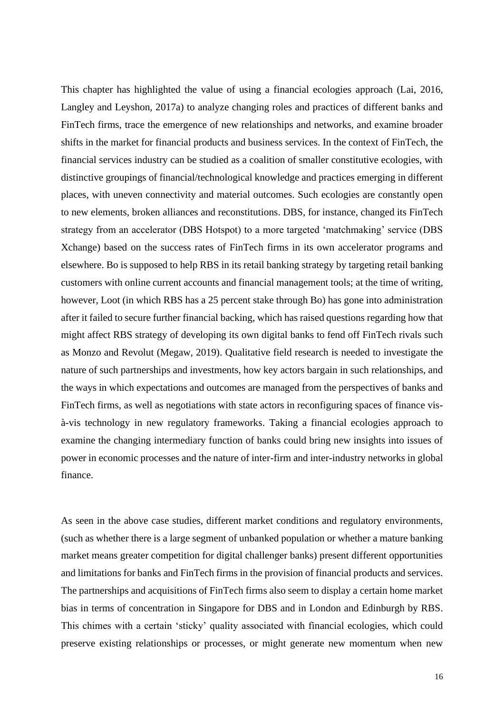This chapter has highlighted the value of using a financial ecologies approach (Lai, 2016, Langley and Leyshon, 2017a) to analyze changing roles and practices of different banks and FinTech firms, trace the emergence of new relationships and networks, and examine broader shifts in the market for financial products and business services. In the context of FinTech, the financial services industry can be studied as a coalition of smaller constitutive ecologies, with distinctive groupings of financial/technological knowledge and practices emerging in different places, with uneven connectivity and material outcomes. Such ecologies are constantly open to new elements, broken alliances and reconstitutions. DBS, for instance, changed its FinTech strategy from an accelerator (DBS Hotspot) to a more targeted 'matchmaking' service (DBS Xchange) based on the success rates of FinTech firms in its own accelerator programs and elsewhere. Bo is supposed to help RBS in its retail banking strategy by targeting retail banking customers with online current accounts and financial management tools; at the time of writing, however, Loot (in which RBS has a 25 percent stake through Bo) has gone into administration after it failed to secure further financial backing, which has raised questions regarding how that might affect RBS strategy of developing its own digital banks to fend off FinTech rivals such as Monzo and Revolut (Megaw, 2019). Qualitative field research is needed to investigate the nature of such partnerships and investments, how key actors bargain in such relationships, and the ways in which expectations and outcomes are managed from the perspectives of banks and FinTech firms, as well as negotiations with state actors in reconfiguring spaces of finance visà-vis technology in new regulatory frameworks. Taking a financial ecologies approach to examine the changing intermediary function of banks could bring new insights into issues of power in economic processes and the nature of inter-firm and inter-industry networks in global finance.

As seen in the above case studies, different market conditions and regulatory environments, (such as whether there is a large segment of unbanked population or whether a mature banking market means greater competition for digital challenger banks) present different opportunities and limitations for banks and FinTech firms in the provision of financial products and services. The partnerships and acquisitions of FinTech firms also seem to display a certain home market bias in terms of concentration in Singapore for DBS and in London and Edinburgh by RBS. This chimes with a certain 'sticky' quality associated with financial ecologies, which could preserve existing relationships or processes, or might generate new momentum when new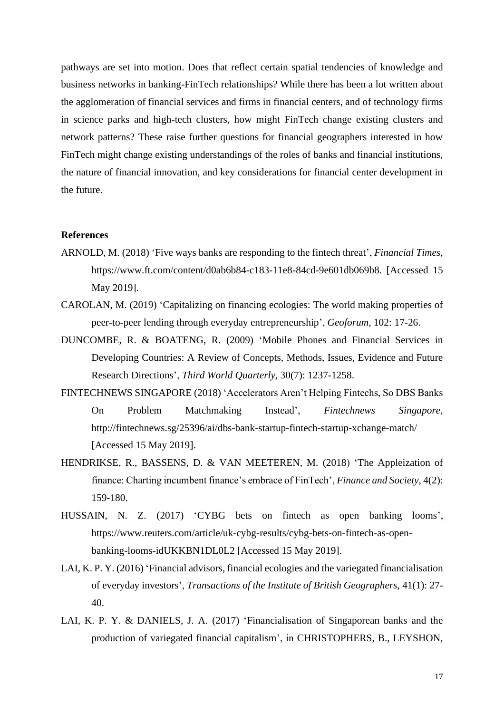pathways are set into motion. Does that reflect certain spatial tendencies of knowledge and business networks in banking-FinTech relationships? While there has been a lot written about the agglomeration of financial services and firms in financial centers, and of technology firms in science parks and high-tech clusters, how might FinTech change existing clusters and network patterns? These raise further questions for financial geographers interested in how FinTech might change existing understandings of the roles of banks and financial institutions, the nature of financial innovation, and key considerations for financial center development in the future.

#### **References**

- ARNOLD, M. (2018) 'Five ways banks are responding to the fintech threat', *Financial Times*, https://www.ft.com/content/d0ab6b84-c183-11e8-84cd-9e601db069b8. [Accessed 15 May 2019].
- CAROLAN, M. (2019) 'Capitalizing on financing ecologies: The world making properties of peer-to-peer lending through everyday entrepreneurship', *Geoforum,* 102: 17-26.
- DUNCOMBE, R. & BOATENG, R. (2009) 'Mobile Phones and Financial Services in Developing Countries: A Review of Concepts, Methods, Issues, Evidence and Future Research Directions', *Third World Quarterly,* 30(7): 1237-1258.
- FINTECHNEWS SINGAPORE (2018) 'Accelerators Aren't Helping Fintechs, So DBS Banks On Problem Matchmaking Instead', *Fintechnews Singapore*, http://fintechnews.sg/25396/ai/dbs-bank-startup-fintech-startup-xchange-match/ [Accessed 15 May 2019].
- HENDRIKSE, R., BASSENS, D. & VAN MEETEREN, M. (2018) 'The Appleization of finance: Charting incumbent finance's embrace of FinTech', *Finance and Society,* 4(2): 159-180.
- HUSSAIN, N. Z. (2017) 'CYBG bets on fintech as open banking looms', https://www.reuters.com/article/uk-cybg-results/cybg-bets-on-fintech-as-openbanking-looms-idUKKBN1DL0L2 [Accessed 15 May 2019].
- LAI, K. P. Y. (2016) 'Financial advisors, financial ecologies and the variegated financialisation of everyday investors', *Transactions of the Institute of British Geographers,* 41(1): 27- 40.
- LAI, K. P. Y. & DANIELS, J. A. (2017) 'Financialisation of Singaporean banks and the production of variegated financial capitalism', in CHRISTOPHERS, B., LEYSHON,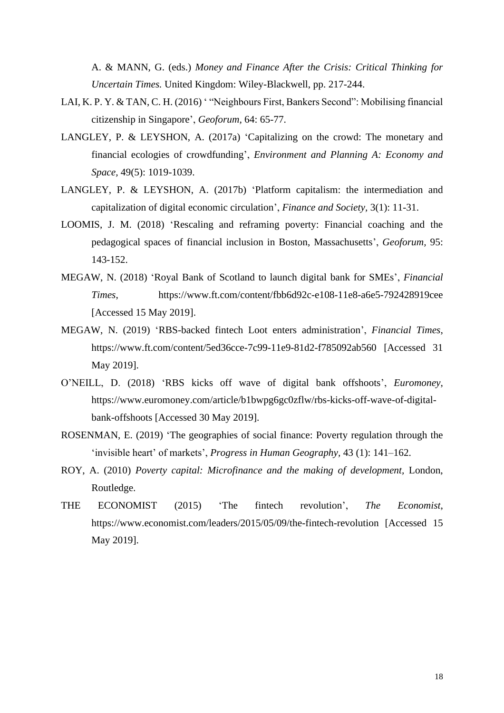A. & MANN, G. (eds.) *Money and Finance After the Crisis: Critical Thinking for Uncertain Times.* United Kingdom: Wiley-Blackwell, pp. 217-244.

- LAI, K. P. Y. & TAN, C. H. (2016) ' "Neighbours First, Bankers Second": Mobilising financial citizenship in Singapore', *Geoforum,* 64: 65-77.
- LANGLEY, P. & LEYSHON, A. (2017a) 'Capitalizing on the crowd: The monetary and financial ecologies of crowdfunding', *Environment and Planning A: Economy and Space,* 49(5): 1019-1039.
- LANGLEY, P. & LEYSHON, A. (2017b) 'Platform capitalism: the intermediation and capitalization of digital economic circulation', *Finance and Society,* 3(1): 11-31.
- LOOMIS, J. M. (2018) 'Rescaling and reframing poverty: Financial coaching and the pedagogical spaces of financial inclusion in Boston, Massachusetts', *Geoforum,* 95: 143-152.
- MEGAW, N. (2018) 'Royal Bank of Scotland to launch digital bank for SMEs', *Financial Times*, https://www.ft.com/content/fbb6d92c-e108-11e8-a6e5-792428919cee [Accessed 15 May 2019].
- MEGAW, N. (2019) 'RBS-backed fintech Loot enters administration', *Financial Times*, https://www.ft.com/content/5ed36cce-7c99-11e9-81d2-f785092ab560 [Accessed 31 May 2019].
- O'NEILL, D. (2018) 'RBS kicks off wave of digital bank offshoots', *Euromoney*, https://www.euromoney.com/article/b1bwpg6gc0zflw/rbs-kicks-off-wave-of-digitalbank-offshoots [Accessed 30 May 2019].
- ROSENMAN, E. (2019) 'The geographies of social finance: Poverty regulation through the 'invisible heart' of markets', *Progress in Human Geography,* 43 (1): 141–162.
- ROY, A. (2010) *Poverty capital: Microfinance and the making of development,* London, Routledge.
- THE ECONOMIST (2015) 'The fintech revolution', *The Economist*, https://www.economist.com/leaders/2015/05/09/the-fintech-revolution [Accessed 15 May 2019].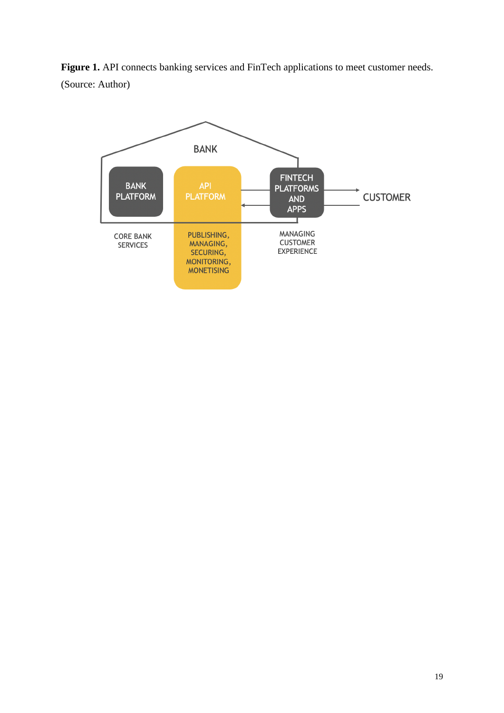Figure 1. API connects banking services and FinTech applications to meet customer needs. (Source: Author)

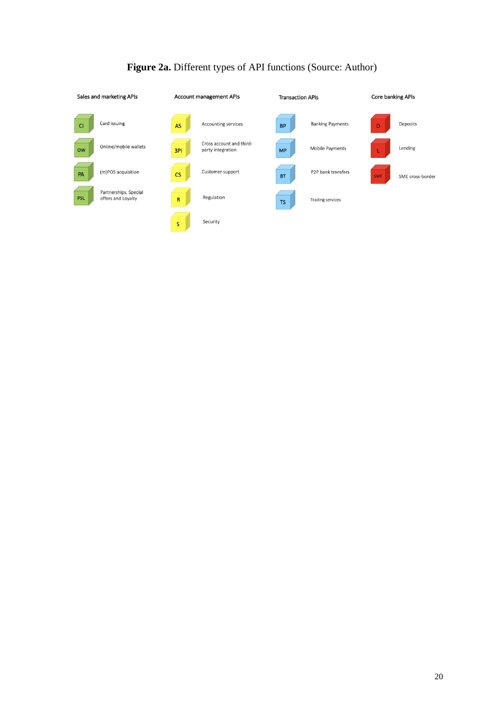| Sales and marketing APIs |                                             | <b>Account management APIs</b> |                                               | <b>Transaction APIs</b> |                                 | Core banking APIs |                  |
|--------------------------|---------------------------------------------|--------------------------------|-----------------------------------------------|-------------------------|---------------------------------|-------------------|------------------|
| C1                       | Card issuing                                | AS                             | Accounting services                           | <b>BP</b>               | <b>Banking Payments</b>         | D                 | Deposits         |
| <b>OW</b>                | Online/mobile wallets                       | 3PI                            | Cross account and third-<br>party integration | <b>MP</b>               | Mobile Payments                 |                   | Lending          |
| PA                       | (m)POS acquisition                          | CS                             | Customer support                              | <b>BT</b>               | P <sub>2</sub> P bank transfers | <b>SME</b>        | SME cross-border |
| <b>PSL</b>               | Partnerships, Special<br>offers and Loyalty | $\overline{R}$                 | Regulation                                    | <b>TS</b>               | <b>Trading services</b>         |                   |                  |
|                          |                                             | S                              | Security                                      |                         |                                 |                   |                  |

# **Figure 2a.** Different types of API functions (Source: Author)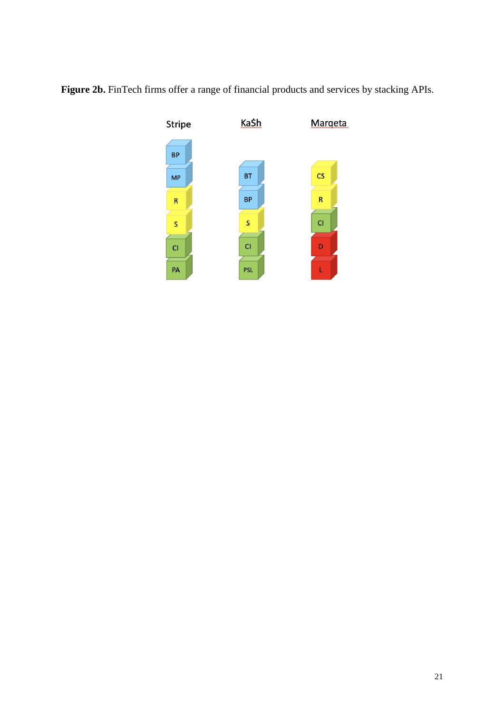

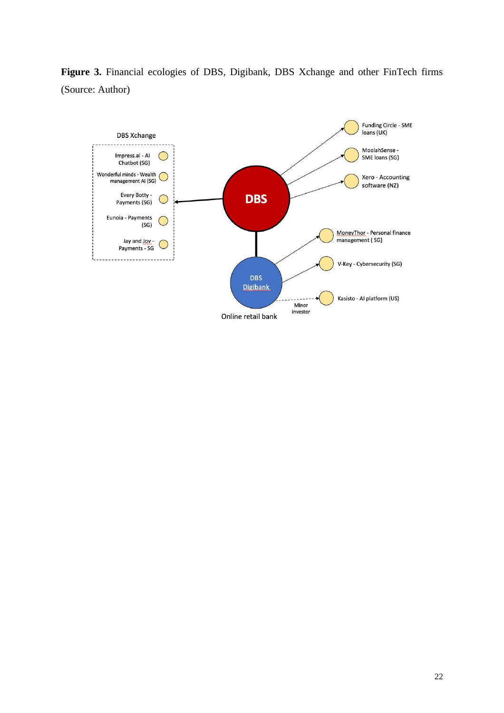**Figure 3.** Financial ecologies of DBS, Digibank, DBS Xchange and other FinTech firms (Source: Author)